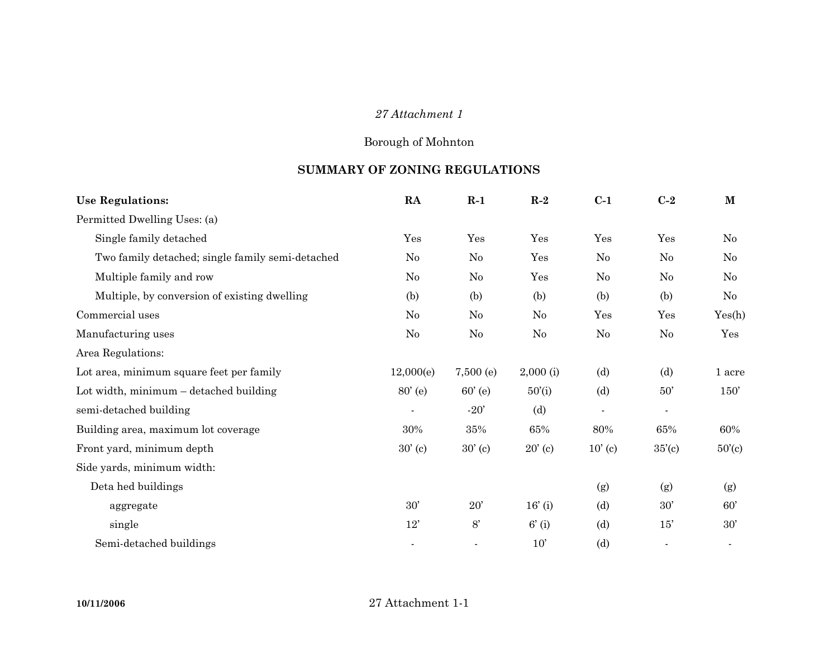## *27 Attachment 1*

## Borough of Mohnton

## **SUMMARY OF ZONING REGULATIONS**

| <b>Use Regulations:</b>                          | RA             | $R-1$       | $R-2$            | $C-1$     | $C-2$          | $\mathbf{M}$     |
|--------------------------------------------------|----------------|-------------|------------------|-----------|----------------|------------------|
| Permitted Dwelling Uses: (a)                     |                |             |                  |           |                |                  |
| Single family detached                           | Yes            | Yes         | Yes              | Yes       | Yes            | $\rm No$         |
| Two family detached; single family semi-detached | $\rm No$       | No          | Yes              | $\rm No$  | N <sub>0</sub> | $\rm No$         |
| Multiple family and row                          | No             | No          | Yes              | No        | N <sub>0</sub> | No               |
| Multiple, by conversion of existing dwelling     | (b)            | (b)         | (b)              | (b)       | (b)            | No               |
| Commercial uses                                  | N <sub>o</sub> | No          | No               | Yes       | Yes            | Yes(h)           |
| Manufacturing uses                               | No             | No          | No               | No        | No             | Yes              |
| Area Regulations:                                |                |             |                  |           |                |                  |
| Lot area, minimum square feet per family         | 12,000(e)      | $7,500$ (e) | $2,000$ (i)      | (d)       | (d)            | 1 acre           |
| Lot width, minimum - detached building           | $80'$ (e)      | $60'$ (e)   | 50'(i)           | (d)       | $50^{\circ}$   | 150'             |
| semi-detached building                           |                | $-20'$      | (d)              | $\sim$    | $\sim$         |                  |
| Building area, maximum lot coverage              | 30%            | 35%         | 65%              | 80%       | 65%            | 60%              |
| Front yard, minimum depth                        | 30'(c)         | 30'(c)      | $20^{\circ}$ (c) | $10'$ (c) | 35'(c)         | $50^{\circ}$ (c) |
| Side yards, minimum width:                       |                |             |                  |           |                |                  |
| Deta hed buildings                               |                |             |                  | (g)       | (g)            | (g)              |
| aggregate                                        | 30'            | 20'         | $16'$ (i)        | (d)       | 30'            | 60'              |
| single                                           | 12'            | 8'          | 6'(i)            | (d)       | 15'            | 30'              |
| Semi-detached buildings                          |                |             | 10'              | (d)       |                |                  |